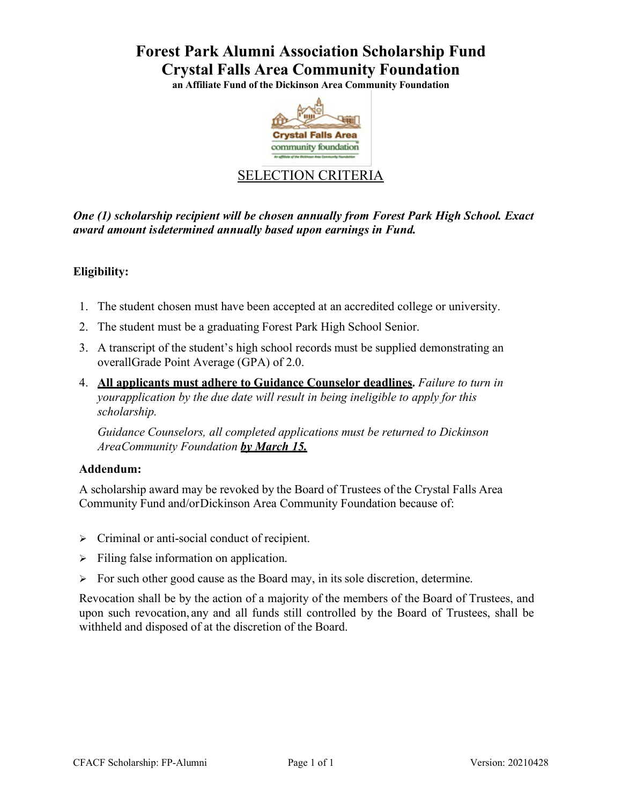# **Forest Park Alumni Association Scholarship Fund Crystal Falls Area Community Foundation**

**an Affiliate Fund of the Dickinson Area Community Foundation**



## SELECTION CRITERIA

*One (1) scholarship recipient will be chosen annually from Forest Park High School. Exact award amount isdetermined annually based upon earnings in Fund.*

## **Eligibility:**

- 1. The student chosen must have been accepted at an accredited college or university.
- 2. The student must be a graduating Forest Park High School Senior.
- 3. A transcript of the student's high school records must be supplied demonstrating an overallGrade Point Average (GPA) of 2.0.
- 4. **All applicants must adhere to Guidance Counselor deadlines.** *Failure to turn in yourapplication by the due date will result in being ineligible to apply for this scholarship.*

*Guidance Counselors, all completed applications must be returned to Dickinson AreaCommunity Foundation by March 15.*

### **Addendum:**

A scholarship award may be revoked by the Board of Trustees of the Crystal Falls Area Community Fund and/orDickinson Area Community Foundation because of:

- $\triangleright$  Criminal or anti-social conduct of recipient.
- $\triangleright$  Filing false information on application.
- $\triangleright$  For such other good cause as the Board may, in its sole discretion, determine.

Revocation shall be by the action of a majority of the members of the Board of Trustees, and upon such revocation, any and all funds still controlled by the Board of Trustees, shall be withheld and disposed of at the discretion of the Board.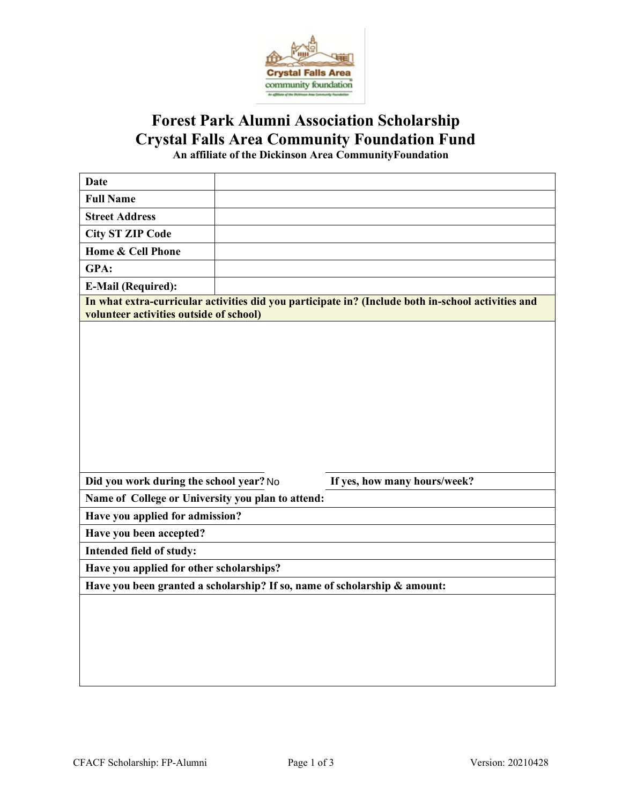

# **Forest Park Alumni Association Scholarship Crystal Falls Area Community Foundation Fund**

**An affiliate of the Dickinson Area CommunityFoundation**

| <b>Date</b>                                                                                                                                   |  |                                                                           |  |
|-----------------------------------------------------------------------------------------------------------------------------------------------|--|---------------------------------------------------------------------------|--|
| <b>Full Name</b>                                                                                                                              |  |                                                                           |  |
| <b>Street Address</b>                                                                                                                         |  |                                                                           |  |
| <b>City ST ZIP Code</b>                                                                                                                       |  |                                                                           |  |
| Home & Cell Phone                                                                                                                             |  |                                                                           |  |
| GPA:                                                                                                                                          |  |                                                                           |  |
| <b>E-Mail (Required):</b>                                                                                                                     |  |                                                                           |  |
| In what extra-curricular activities did you participate in? (Include both in-school activities and<br>volunteer activities outside of school) |  |                                                                           |  |
|                                                                                                                                               |  |                                                                           |  |
|                                                                                                                                               |  |                                                                           |  |
| Did you work during the school year? No                                                                                                       |  | If yes, how many hours/week?                                              |  |
| Name of College or University you plan to attend:                                                                                             |  |                                                                           |  |
| Have you applied for admission?                                                                                                               |  |                                                                           |  |
| Have you been accepted?                                                                                                                       |  |                                                                           |  |
| Intended field of study:                                                                                                                      |  |                                                                           |  |
| Have you applied for other scholarships?                                                                                                      |  |                                                                           |  |
|                                                                                                                                               |  | Have you been granted a scholarship? If so, name of scholarship & amount: |  |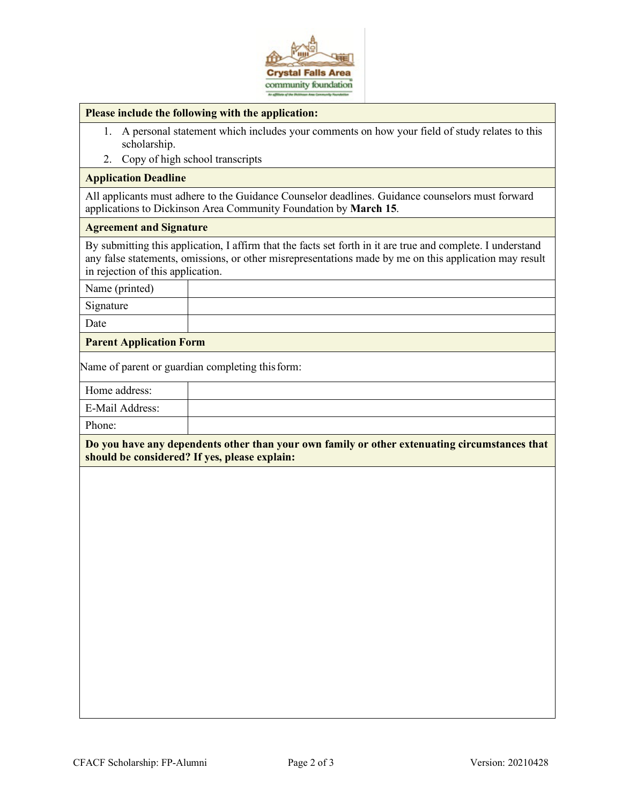

#### **Please include the following with the application:**

- 1. A personal statement which includes your comments on how your field of study relates to this scholarship.
- 2. Copy of high school transcripts

#### **Application Deadline**

All applicants must adhere to the Guidance Counselor deadlines. Guidance counselors must forward applications to Dickinson Area Community Foundation by **March 15**.

#### **Agreement and Signature**

By submitting this application, I affirm that the facts set forth in it are true and complete. I understand any false statements, omissions, or other misrepresentations made by me on this application may result in rejection of this application.

Name (printed)

Signature

Date

### **Parent Application Form**

Name of parent or guardian completing this form:

Home address:

E-Mail Address:

Phone:

**Do you have any dependents other than your own family or other extenuating circumstances that should be considered? If yes, please explain:**